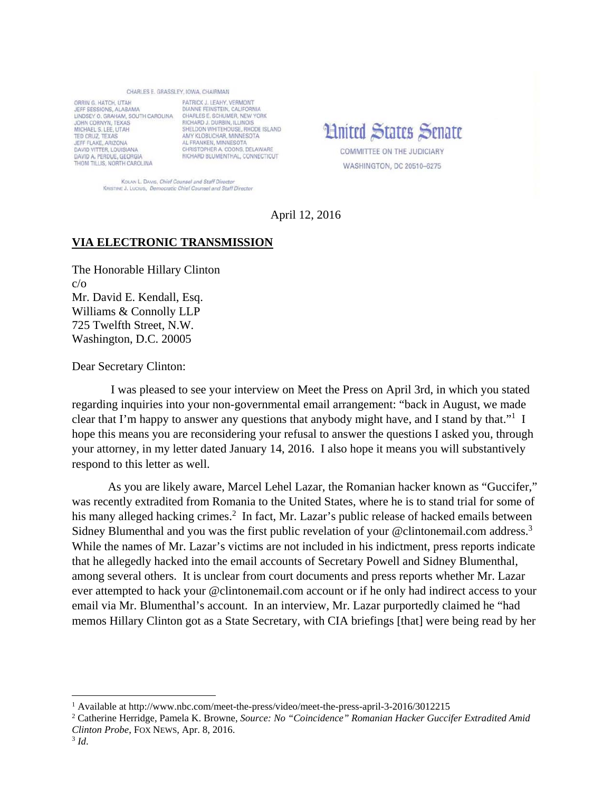## CHARLES E. GRASSLEY, IOWA, CHAIRMAN

ORRIN G. HATCH, UTAH JEFF SESSIONS, ALABAMA LINDSEY O. GRAHAM, SOUTH CAROLINA CHARLES E. SCHUMER, NEW YORK JOHN CORNYN, TEXAS MICHAEL S. LEE, UTAH TED CRUZ TEXAS JEFF FLAKE, ARIZONA **DAVID VITTER, LOUISIANA** DAVID A. PERDUE, GEORGIA THOM TILLIS, NORTH CAROLINA

PATRICK LIFAHY VERMONT DIANNE FEINSTEIN, CALIFORNIA SHELDON WHITEHOUSE, RHODE ISLAND AMY KLOBUCHAR, MINNESOTA AL FRANKEN, MINNESOTA CHRISTOPHER A. COONS, DELAWARE RICHARD BLUMENTHAL, CONNECTICUT

**Hnited States Senate COMMITTEE ON THE JUDICIARY** 

WASHINGTON, DC 20510-6275

KOLAN L. DAVIS, Chief Counsel and Staff Director KRISTINE J. LUCIUS, Democratic Chief Counsel and Staff Director

April 12, 2016

## **VIA ELECTRONIC TRANSMISSION**

The Honorable Hillary Clinton c/o Mr. David E. Kendall, Esq. Williams & Connolly LLP 725 Twelfth Street, N.W. Washington, D.C. 20005

Dear Secretary Clinton:

 I was pleased to see your interview on Meet the Press on April 3rd, in which you stated regarding inquiries into your non-governmental email arrangement: "back in August, we made clear that I'm happy to answer any questions that anybody might have, and I stand by that."<sup>1</sup> I hope this means you are reconsidering your refusal to answer the questions I asked you, through your attorney, in my letter dated January 14, 2016. I also hope it means you will substantively respond to this letter as well.

 As you are likely aware, Marcel Lehel Lazar, the Romanian hacker known as "Guccifer," was recently extradited from Romania to the United States, where he is to stand trial for some of his many alleged hacking crimes.<sup>2</sup> In fact, Mr. Lazar's public release of hacked emails between Sidney Blumenthal and you was the first public revelation of your @clintonemail.com address.<sup>3</sup> While the names of Mr. Lazar's victims are not included in his indictment, press reports indicate that he allegedly hacked into the email accounts of Secretary Powell and Sidney Blumenthal, among several others. It is unclear from court documents and press reports whether Mr. Lazar ever attempted to hack your @clintonemail.com account or if he only had indirect access to your email via Mr. Blumenthal's account. In an interview, Mr. Lazar purportedly claimed he "had memos Hillary Clinton got as a State Secretary, with CIA briefings [that] were being read by her

<sup>&</sup>lt;sup>1</sup> Available at http://www.nbc.com/meet-the-press/video/meet-the-press-april-3-2016/3012215

<sup>2</sup> Catherine Herridge, Pamela K. Browne, *Source: No "Coincidence" Romanian Hacker Guccifer Extradited Amid Clinton Probe*, FOX NEWS, Apr. 8, 2016. 3 *Id*.